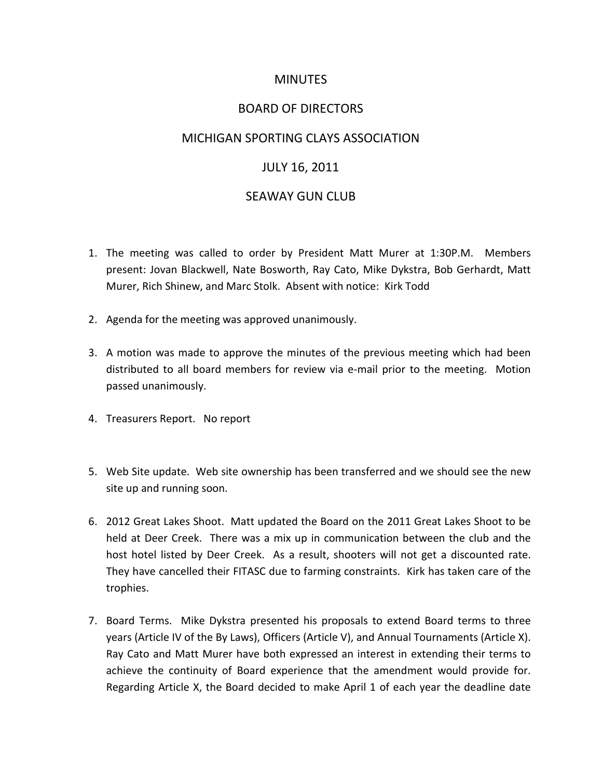# MINUTES

# BOARD OF DIRECTORS

## MICHIGAN SPORTING CLAYS ASSOCIATION

# JULY 16, 2011

# SEAWAY GUN CLUB

- 1. The meeting was called to order by President Matt Murer at 1:30P.M. Members present: Jovan Blackwell, Nate Bosworth, Ray Cato, Mike Dykstra, Bob Gerhardt, Matt Murer, Rich Shinew, and Marc Stolk. Absent with notice: Kirk Todd
- 2. Agenda for the meeting was approved unanimously.
- 3. A motion was made to approve the minutes of the previous meeting which had been distributed to all board members for review via e-mail prior to the meeting. Motion passed unanimously.
- 4. Treasurers Report. No report
- 5. Web Site update. Web site ownership has been transferred and we should see the new site up and running soon.
- 6. 2012 Great Lakes Shoot. Matt updated the Board on the 2011 Great Lakes Shoot to be held at Deer Creek. There was a mix up in communication between the club and the host hotel listed by Deer Creek. As a result, shooters will not get a discounted rate. They have cancelled their FITASC due to farming constraints. Kirk has taken care of the trophies.
- 7. Board Terms. Mike Dykstra presented his proposals to extend Board terms to three years (Article IV of the By Laws), Officers (Article V), and Annual Tournaments (Article X). Ray Cato and Matt Murer have both expressed an interest in extending their terms to achieve the continuity of Board experience that the amendment would provide for. Regarding Article X, the Board decided to make April 1 of each year the deadline date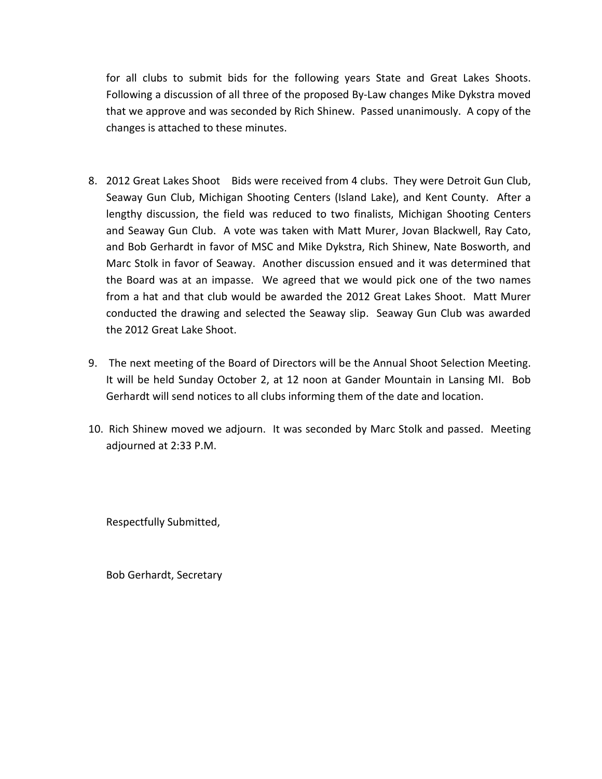for all clubs to submit bids for the following years State and Great Lakes Shoots. Following a discussion of all three of the proposed By-Law changes Mike Dykstra moved that we approve and was seconded by Rich Shinew. Passed unanimously. A copy of the changes is attached to these minutes.

- 8. 2012 Great Lakes Shoot Bids were received from 4 clubs. They were Detroit Gun Club, Seaway Gun Club, Michigan Shooting Centers (Island Lake), and Kent County. After a lengthy discussion, the field was reduced to two finalists, Michigan Shooting Centers and Seaway Gun Club. A vote was taken with Matt Murer, Jovan Blackwell, Ray Cato, and Bob Gerhardt in favor of MSC and Mike Dykstra, Rich Shinew, Nate Bosworth, and Marc Stolk in favor of Seaway. Another discussion ensued and it was determined that the Board was at an impasse. We agreed that we would pick one of the two names from a hat and that club would be awarded the 2012 Great Lakes Shoot. Matt Murer conducted the drawing and selected the Seaway slip. Seaway Gun Club was awarded the 2012 Great Lake Shoot.
- 9. The next meeting of the Board of Directors will be the Annual Shoot Selection Meeting. It will be held Sunday October 2, at 12 noon at Gander Mountain in Lansing MI. Bob Gerhardt will send notices to all clubs informing them of the date and location.
- 10. Rich Shinew moved we adjourn. It was seconded by Marc Stolk and passed. Meeting adjourned at 2:33 P.M.

Respectfully Submitted,

Bob Gerhardt, Secretary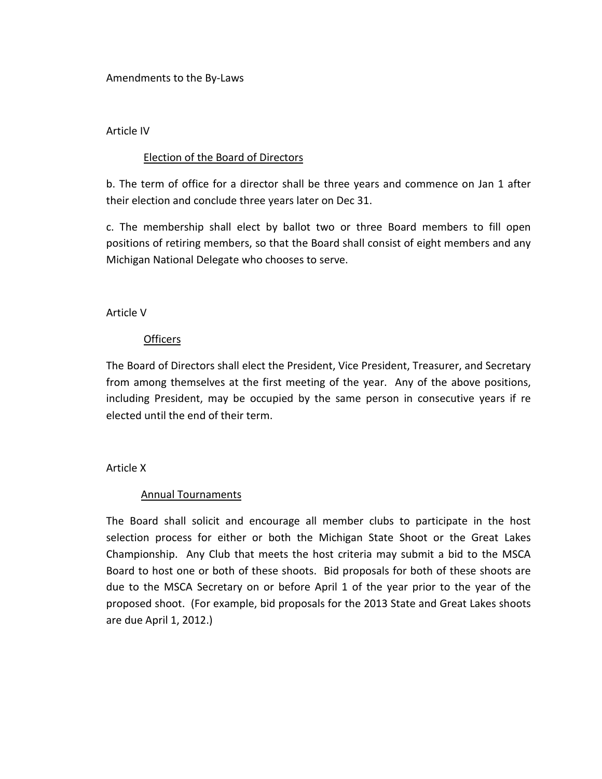Amendments to the By-Laws

#### Article IV

## Election of the Board of Directors

b. The term of office for a director shall be three years and commence on Jan 1 after their election and conclude three years later on Dec 31.

c. The membership shall elect by ballot two or three Board members to fill open positions of retiring members, so that the Board shall consist of eight members and any Michigan National Delegate who chooses to serve.

### Article V

### **Officers**

The Board of Directors shall elect the President, Vice President, Treasurer, and Secretary from among themselves at the first meeting of the year. Any of the above positions, including President, may be occupied by the same person in consecutive years if re elected until the end of their term.

#### Article X

## Annual Tournaments

The Board shall solicit and encourage all member clubs to participate in the host selection process for either or both the Michigan State Shoot or the Great Lakes Championship. Any Club that meets the host criteria may submit a bid to the MSCA Board to host one or both of these shoots. Bid proposals for both of these shoots are due to the MSCA Secretary on or before April 1 of the year prior to the year of the proposed shoot. (For example, bid proposals for the 2013 State and Great Lakes shoots are due April 1, 2012.)